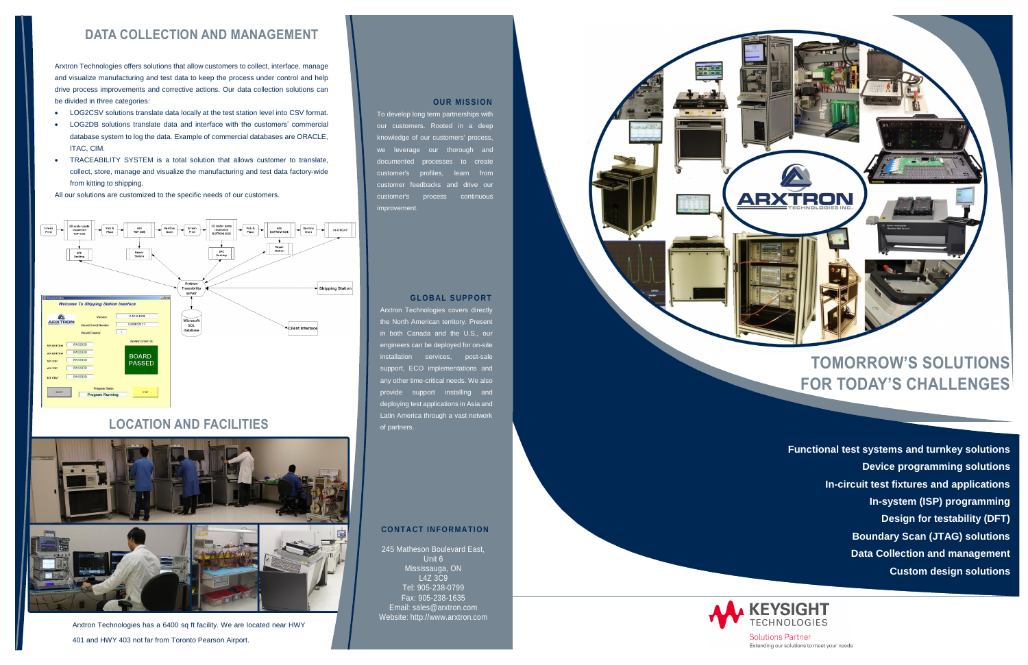# **TOMORROW'S SOLUTIONS FOR TODAY'S CHALLENGES**

### **LOCATION AND FACILITIES**



Arxtron Technologies has a 6400 sq ft facility. We are located near HWY 401 and HWY 403 not far from Toronto Pearson Airport.

#### **OUR MISSION**

To develop long term partnerships with our customers. Rooted in a deep knowledge of our customers' process, we leverage our thorough and documented processes to create customer's profiles, learn from customer feedbacks and drive our customer's process continuous **improvement** 

### **GLOBAL SUPPORT**

Arxtron Technologies covers directly the North American territory. Present in both Canada and the U.S., our engineers can be deployed for on-site installation services, post-sale support, ECO implementations and any other time-critical needs. We also provide support installing and deploying test applications in Asia and Latin America through a vast network of partners.

#### **CO NTACT INFORMATIO N**

245 Matheson Boulevard East, Unit 6 Mississauga, ON L4Z 3C9 Tel: 905-238-0799 Fax: 905-238-1635 Email: sales@arxtron.com Website: http://www.arxtron.com



**Functional test systems and turnkey solutions Device programming solutions In-circuit test fixtures and applications In-system (ISP) programming Design for testability (DFT) Boundary Scan (JTAG) solutions Data Collection and management Custom design solutions**



**Solutions Partner** Extending our solutions to meet your needs

### **DATA COLLECTION AND MANAGEMENT**

Arxtron Technologies offers solutions that allow customers to collect, interface, manage and visualize manufacturing and test data to keep the process under control and help drive process improvements and corrective actions. Our data collection solutions can be divided in three categories:

- LOG2CSV solutions translate data locally at the test station level into CSV format.
- LOG2DB solutions translate data and interface with the customers' commercial database system to log the data. Example of commercial databases are ORACLE, ITAC, CIM.
- TRACEABILITY SYSTEM is a total solution that allows customer to translate, collect, store, manage and visualize the manufacturing and test data factory-wide from kitting to shipping.

All our solutions are customized to the specific needs of our customers.